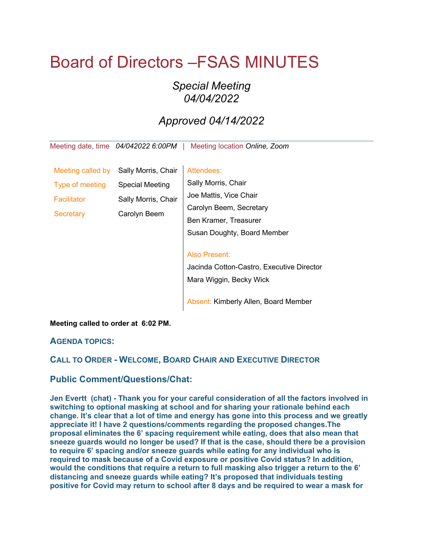# Board of Directors –FSAS MINUTES

## *Special Meeting 04/04/2022*

## *Approved 04/14/2022*

Meeting date, time *04/042022 6:00PM* | Meeting location *Online, Zoom*

| Meeting called by  | Sally Morris, Chair    | Attendees:                                                                                   |
|--------------------|------------------------|----------------------------------------------------------------------------------------------|
| Type of meeting    | <b>Special Meeting</b> | Sally Morris, Chair                                                                          |
| <b>Facilitator</b> | Sally Morris, Chair    | Joe Mattis, Vice Chair                                                                       |
| <b>Secretary</b>   | Carolyn Beem           | Carolyn Beem, Secretary                                                                      |
|                    |                        | Ben Kramer, Treasurer                                                                        |
|                    |                        | Susan Doughty, Board Member                                                                  |
|                    |                        | <b>Also Present:</b><br>Jacinda Cotton-Castro, Executive Director<br>Mara Wiggin, Becky Wick |
|                    |                        | Absent: Kimberly Allen, Board Member                                                         |

#### **Meeting called to order at 6:02 PM.**

#### **AGENDA TOPICS:**

### **CALL TO ORDER - WELCOME, BOARD CHAIR AND EXECUTIVE DIRECTOR**

#### **Public Comment/Questions/Chat:**

**Jen Evertt (chat) - Thank you for your careful consideration of all the factors involved in switching to optional masking at school and for sharing your rationale behind each change. It's clear that a lot of time and energy has gone into this process and we greatly appreciate it! I have 2 questions/comments regarding the proposed changes.The proposal eliminates the 6' spacing requirement while eating, does that also mean that sneeze guards would no longer be used? If that is the case, should there be a provision to require 6' spacing and/or sneeze guards while eating for any individual who is required to mask because of a Covid exposure or positive Covid status? In addition, would the conditions that require a return to full masking also trigger a return to the 6' distancing and sneeze guards while eating? It's proposed that individuals testing positive for Covid may return to school after 8 days and be required to wear a mask for**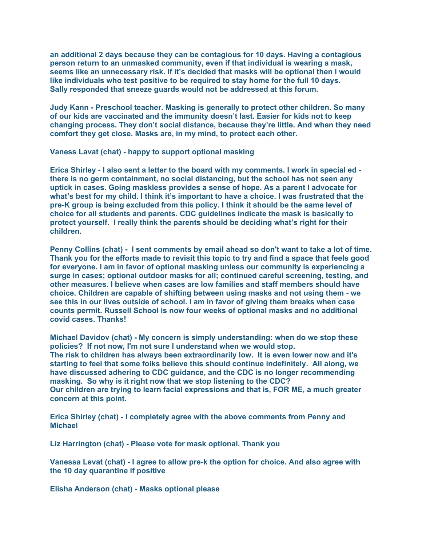**an additional 2 days because they can be contagious for 10 days. Having a contagious person return to an unmasked community, even if that individual is wearing a mask, seems like an unnecessary risk. If it's decided that masks will be optional then I would like individuals who test positive to be required to stay home for the full 10 days. Sally responded that sneeze guards would not be addressed at this forum.**

**Judy Kann - Preschool teacher. Masking is generally to protect other children. So many of our kids are vaccinated and the immunity doesn't last. Easier for kids not to keep changing process. They don't social distance, because they're little. And when they need comfort they get close. Masks are, in my mind, to protect each other.**

**Vaness Lavat (chat) - happy to support optional masking**

**Erica Shirley - I also sent a letter to the board with my comments. I work in special ed there is no germ containment, no social distancing, but the school has not seen any uptick in cases. Going maskless provides a sense of hope. As a parent I advocate for what's best for my child. I think it's important to have a choice. I was frustrated that the pre-K group is being excluded from this policy. I think it should be the same level of choice for all students and parents. CDC guidelines indicate the mask is basically to protect yourself. I really think the parents should be deciding what's right for their children.**

**Penny Collins (chat) - I sent comments by email ahead so don't want to take a lot of time. Thank you for the efforts made to revisit this topic to try and find a space that feels good for everyone. I am in favor of optional masking unless our community is experiencing a surge in cases; optional outdoor masks for all; continued careful screening, testing, and other measures. I believe when cases are low families and staff members should have choice. Children are capable of shifting between using masks and not using them - we see this in our lives outside of school. I am in favor of giving them breaks when case counts permit. Russell School is now four weeks of optional masks and no additional covid cases. Thanks!**

**Michael Davidov (chat) - My concern is simply understanding: when do we stop these policies? If not now, I'm not sure I understand when we would stop. The risk to children has always been extraordinarily low. It is even lower now and it's starting to feel that some folks believe this should continue indefinitely. All along, we have discussed adhering to CDC guidance, and the CDC is no longer recommending masking. So why is it right now that we stop listening to the CDC? Our children are trying to learn facial expressions and that is, FOR ME, a much greater concern at this point.**

**Erica Shirley (chat) - I completely agree with the above comments from Penny and Michael**

**Liz Harrington (chat) - Please vote for mask optional. Thank you**

**Vanessa Levat (chat) - I agree to allow pre-k the option for choice. And also agree with the 10 day quarantine if positive**

**Elisha Anderson (chat) - Masks optional please**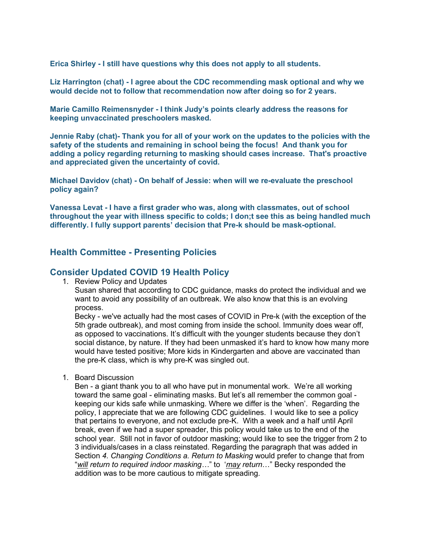**Erica Shirley - I still have questions why this does not apply to all students.**

**Liz Harrington (chat) - I agree about the CDC recommending mask optional and why we would decide not to follow that recommendation now after doing so for 2 years.**

**Marie Camillo Reimensnyder - I think Judy's points clearly address the reasons for keeping unvaccinated preschoolers masked.**

**Jennie Raby (chat)- Thank you for all of your work on the updates to the policies with the safety of the students and remaining in school being the focus! And thank you for adding a policy regarding returning to masking should cases increase. That's proactive and appreciated given the uncertainty of covid.**

**Michael Davidov (chat) - On behalf of Jessie: when will we re-evaluate the preschool policy again?**

**Vanessa Levat - I have a first grader who was, along with classmates, out of school throughout the year with illness specific to colds; I don;t see this as being handled much differently. I fully support parents' decision that Pre-k should be mask-optional.**

#### **Health Committee - Presenting Policies**

#### **Consider Updated COVID 19 Health Policy**

1. Review Policy and Updates

Susan shared that according to CDC guidance, masks do protect the individual and we want to avoid any possibility of an outbreak. We also know that this is an evolving process.

Becky - we've actually had the most cases of COVID in Pre-k (with the exception of the 5th grade outbreak), and most coming from inside the school. Immunity does wear off, as opposed to vaccinations. It's difficult with the younger students because they don't social distance, by nature. If they had been unmasked it's hard to know how many more would have tested positive; More kids in Kindergarten and above are vaccinated than the pre-K class, which is why pre-K was singled out.

1. Board Discussion

Ben - a giant thank you to all who have put in monumental work. We're all working toward the same goal - eliminating masks. But let's all remember the common goal keeping our kids safe while unmasking. Where we differ is the 'when'. Regarding the policy, I appreciate that we are following CDC guidelines. I would like to see a policy that pertains to everyone, and not exclude pre-K. With a week and a half until April break, even if we had a super spreader, this policy would take us to the end of the school year. Still not in favor of outdoor masking; would like to see the trigger from 2 to 3 individuals/cases in a class reinstated. Regarding the paragraph that was added in Section *4. Changing Conditions a. Return to Masking* would prefer to change that from "*will return to required indoor masking…*" to '*may return*…" Becky responded the addition was to be more cautious to mitigate spreading.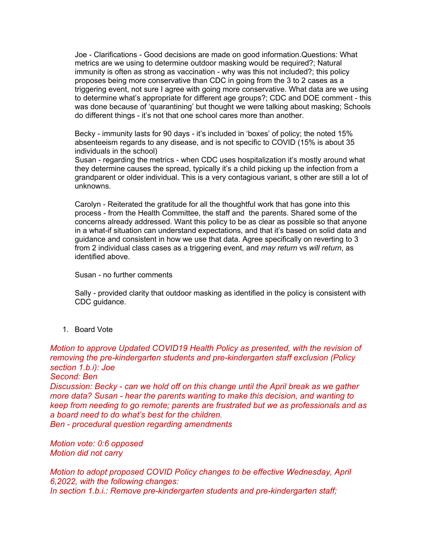Joe - Clarifications - Good decisions are made on good information.Questions: What metrics are we using to determine outdoor masking would be required?; Natural immunity is often as strong as vaccination - why was this not included?; this policy proposes being more conservative than CDC in going from the 3 to 2 cases as a triggering event, not sure I agree with going more conservative. What data are we using to determine what's appropriate for different age groups?; CDC and DOE comment - this was done because of 'quarantining' but thought we were talking about masking; Schools do different things - it's not that one school cares more than another.

Becky - immunity lasts for 90 days - it's included in 'boxes' of policy; the noted 15% absenteeism regards to any disease, and is not specific to COVID (15% is about 35 individuals in the school)

Susan - regarding the metrics - when CDC uses hospitalization it's mostly around what they determine causes the spread, typically it's a child picking up the infection from a grandparent or older individual. This is a very contagious variant, s other are still a lot of unknowns.

Carolyn - Reiterated the gratitude for all the thoughtful work that has gone into this process - from the Health Committee, the staff and the parents. Shared some of the concerns already addressed. Want this policy to be as clear as possible so that anyone in a what-if situation can understand expectations, and that it's based on solid data and guidance and consistent in how we use that data. Agree specifically on reverting to 3 from 2 individual class cases as a triggering event, and *may return* vs *will return*, as identified above.

Susan - no further comments

Sally - provided clarity that outdoor masking as identified in the policy is consistent with CDC guidance.

1. Board Vote

*Motion to approve Updated COVID19 Health Policy as presented, with the revision of removing the pre-kindergarten students and pre-kindergarten staff exclusion (Policy section 1.b.i): Joe Second: Ben Discussion: Becky - can we hold off on this change until the April break as we gather more data? Susan - hear the parents wanting to make this decision, and wanting to keep from needing to go remote; parents are frustrated but we as professionals and as a board need to do what's best for the children. Ben - procedural question regarding amendments*

*Motion vote: 0:6 opposed Motion did not carry*

*Motion to adopt proposed COVID Policy changes to be effective Wednesday, April 6,2022, with the following changes: In section 1.b.i.: Remove pre-kindergarten students and pre-kindergarten staff;*